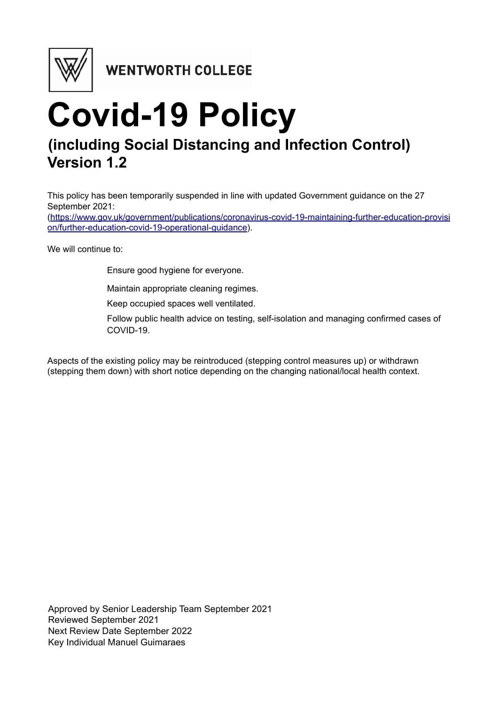

WENTWORTH COLLEGE

# **Covid-19 Policy (including Social Distancing and Infection Control) Version 1.2**

This policy has been temporarily suspended in line with updated Government guidance on the 27 September 2021:

[\(https://www.gov.uk/government/publications/coronavirus-covid-19-maintaining-further-education-provisi](https://www.gov.uk/government/publications/coronavirus-covid-19-maintaining-further-education-provision/further-education-covid-19-operational-guidance) [on/further-education-covid-19-operational-guidance](https://www.gov.uk/government/publications/coronavirus-covid-19-maintaining-further-education-provision/further-education-covid-19-operational-guidance)).

We will continue to:

Ensure good hygiene for everyone.

Maintain appropriate cleaning regimes.

Keep occupied spaces well ventilated.

Follow public health advice on testing, self-isolation and managing confirmed cases of COVID-19.

Aspects of the existing policy may be reintroduced (stepping control measures up) or withdrawn (stepping them down) with short notice depending on the changing national/local health context.

Approved by Senior Leadership Team September 2021 Reviewed September 2021 Next Review Date September 2022 Key Individual Manuel Guimaraes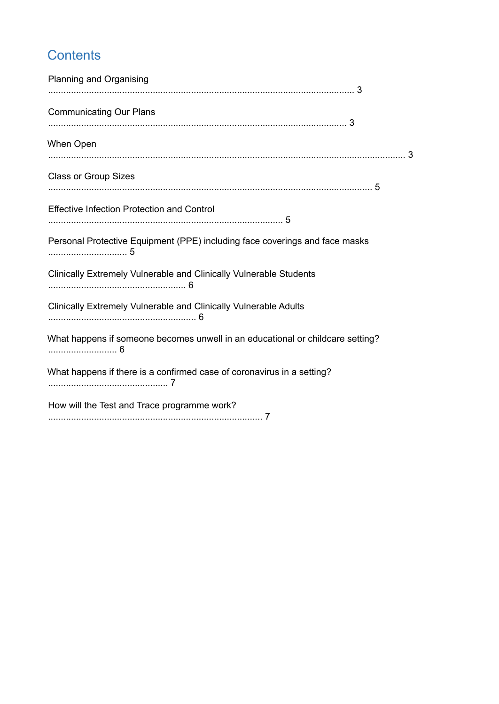## **Contents**

| Planning and Organising                                                        |
|--------------------------------------------------------------------------------|
| <b>Communicating Our Plans</b>                                                 |
| When Open                                                                      |
| <b>Class or Group Sizes</b>                                                    |
| <b>Effective Infection Protection and Control</b>                              |
| Personal Protective Equipment (PPE) including face coverings and face masks    |
| Clinically Extremely Vulnerable and Clinically Vulnerable Students             |
| Clinically Extremely Vulnerable and Clinically Vulnerable Adults               |
| What happens if someone becomes unwell in an educational or childcare setting? |
| What happens if there is a confirmed case of coronavirus in a setting?         |
| How will the Test and Trace programme work?                                    |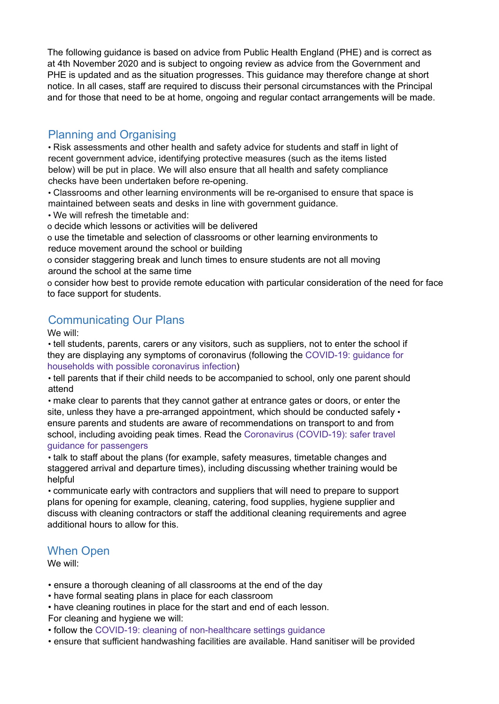The following guidance is based on advice from Public Health England (PHE) and is correct as at 4th November 2020 and is subject to ongoing review as advice from the Government and PHE is updated and as the situation progresses. This guidance may therefore change at short notice. In all cases, staff are required to discuss their personal circumstances with the Principal and for those that need to be at home, ongoing and regular contact arrangements will be made.

#### Planning and Organising

• Risk assessments and other health and safety advice for students and staff in light of recent government advice, identifying protective measures (such as the items listed below) will be put in place. We will also ensure that all health and safety compliance checks have been undertaken before re-opening.

• Classrooms and other learning environments will be re-organised to ensure that space is maintained between seats and desks in line with government guidance.

• We will refresh the timetable and:

o decide which lessons or activities will be delivered

o use the timetable and selection of classrooms or other learning environments to reduce movement around the school or building

o consider staggering break and lunch times to ensure students are not all moving around the school at the same time

o consider how best to provide remote education with particular consideration of the need for face to face support for students.

#### Communicating Our Plans

We will:

• tell students, parents, carers or any visitors, such as suppliers, not to enter the school if they are displaying any symptoms of coronavirus (following the COVID-19: guidance for households with possible coronavirus infection)

• tell parents that if their child needs to be accompanied to school, only one parent should attend

• make clear to parents that they cannot gather at entrance gates or doors, or enter the site, unless they have a pre-arranged appointment, which should be conducted safely  $\cdot$ ensure parents and students are aware of recommendations on transport to and from school, including avoiding peak times. Read the Coronavirus (COVID-19): safer travel guidance for passengers

• talk to staff about the plans (for example, safety measures, timetable changes and staggered arrival and departure times), including discussing whether training would be helpful

• communicate early with contractors and suppliers that will need to prepare to support plans for opening for example, cleaning, catering, food supplies, hygiene supplier and discuss with cleaning contractors or staff the additional cleaning requirements and agree additional hours to allow for this.

#### When Open

We will:

• ensure a thorough cleaning of all classrooms at the end of the day

• have formal seating plans in place for each classroom

• have cleaning routines in place for the start and end of each lesson. For cleaning and hygiene we will:

• follow the COVID-19: cleaning of non-healthcare settings guidance

• ensure that sufficient handwashing facilities are available. Hand sanitiser will be provided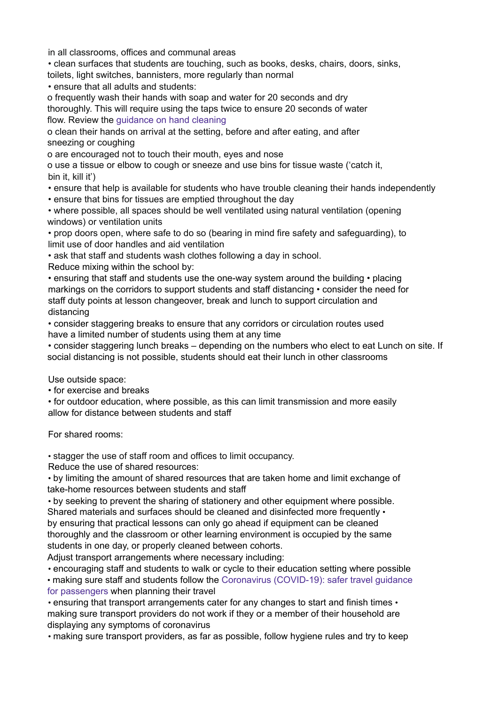in all classrooms, offices and communal areas

• clean surfaces that students are touching, such as books, desks, chairs, doors, sinks, toilets, light switches, bannisters, more regularly than normal

• ensure that all adults and students:

o frequently wash their hands with soap and water for 20 seconds and dry thoroughly. This will require using the taps twice to ensure 20 seconds of water flow. Review the guidance on hand cleaning

o clean their hands on arrival at the setting, before and after eating, and after sneezing or coughing

o are encouraged not to touch their mouth, eyes and nose

o use a tissue or elbow to cough or sneeze and use bins for tissue waste ('catch it, bin it, kill it')

• ensure that help is available for students who have trouble cleaning their hands independently

• ensure that bins for tissues are emptied throughout the day

• where possible, all spaces should be well ventilated using natural ventilation (opening windows) or ventilation units

• prop doors open, where safe to do so (bearing in mind fire safety and safeguarding), to limit use of door handles and aid ventilation

• ask that staff and students wash clothes following a day in school.

Reduce mixing within the school by:

• ensuring that staff and students use the one-way system around the building • placing markings on the corridors to support students and staff distancing • consider the need for staff duty points at lesson changeover, break and lunch to support circulation and distancing

• consider staggering breaks to ensure that any corridors or circulation routes used have a limited number of students using them at any time

• consider staggering lunch breaks – depending on the numbers who elect to eat Lunch on site. If social distancing is not possible, students should eat their lunch in other classrooms

Use outside space:

• for exercise and breaks

• for outdoor education, where possible, as this can limit transmission and more easily allow for distance between students and staff

For shared rooms:

• stagger the use of staff room and offices to limit occupancy.

Reduce the use of shared resources:

• by limiting the amount of shared resources that are taken home and limit exchange of take-home resources between students and staff

• by seeking to prevent the sharing of stationery and other equipment where possible. Shared materials and surfaces should be cleaned and disinfected more frequently  $\cdot$ by ensuring that practical lessons can only go ahead if equipment can be cleaned thoroughly and the classroom or other learning environment is occupied by the same students in one day, or properly cleaned between cohorts.

Adjust transport arrangements where necessary including:

• encouraging staff and students to walk or cycle to their education setting where possible • making sure staff and students follow the Coronavirus (COVID-19): safer travel guidance

for passengers when planning their travel

• ensuring that transport arrangements cater for any changes to start and finish times • making sure transport providers do not work if they or a member of their household are displaying any symptoms of coronavirus

• making sure transport providers, as far as possible, follow hygiene rules and try to keep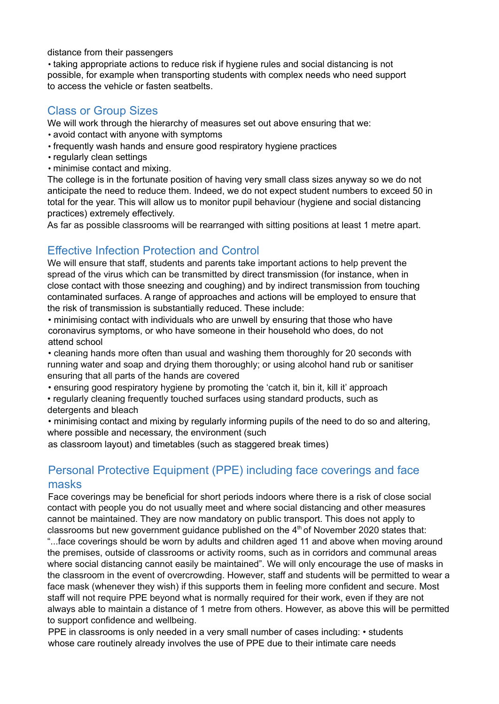distance from their passengers

• taking appropriate actions to reduce risk if hygiene rules and social distancing is not possible, for example when transporting students with complex needs who need support to access the vehicle or fasten seatbelts.

#### Class or Group Sizes

We will work through the hierarchy of measures set out above ensuring that we:

- avoid contact with anyone with symptoms
- frequently wash hands and ensure good respiratory hygiene practices
- regularly clean settings
- minimise contact and mixing.

The college is in the fortunate position of having very small class sizes anyway so we do not anticipate the need to reduce them. Indeed, we do not expect student numbers to exceed 50 in total for the year. This will allow us to monitor pupil behaviour (hygiene and social distancing practices) extremely effectively.

As far as possible classrooms will be rearranged with sitting positions at least 1 metre apart.

#### Effective Infection Protection and Control

We will ensure that staff, students and parents take important actions to help prevent the spread of the virus which can be transmitted by direct transmission (for instance, when in close contact with those sneezing and coughing) and by indirect transmission from touching contaminated surfaces. A range of approaches and actions will be employed to ensure that the risk of transmission is substantially reduced. These include:

• minimising contact with individuals who are unwell by ensuring that those who have coronavirus symptoms, or who have someone in their household who does, do not attend school

• cleaning hands more often than usual and washing them thoroughly for 20 seconds with running water and soap and drying them thoroughly; or using alcohol hand rub or sanitiser ensuring that all parts of the hands are covered

• ensuring good respiratory hygiene by promoting the 'catch it, bin it, kill it' approach

• regularly cleaning frequently touched surfaces using standard products, such as detergents and bleach

• minimising contact and mixing by regularly informing pupils of the need to do so and altering, where possible and necessary, the environment (such

as classroom layout) and timetables (such as staggered break times)

#### Personal Protective Equipment (PPE) including face coverings and face masks

Face coverings may be beneficial for short periods indoors where there is a risk of close social contact with people you do not usually meet and where social distancing and other measures cannot be maintained. They are now mandatory on public transport. This does not apply to classrooms but new government guidance published on the  $4<sup>th</sup>$  of November 2020 states that: "...face coverings should be worn by adults and children aged 11 and above when moving around the premises, outside of classrooms or activity rooms, such as in corridors and communal areas where social distancing cannot easily be maintained". We will only encourage the use of masks in the classroom in the event of overcrowding. However, staff and students will be permitted to wear a face mask (whenever they wish) if this supports them in feeling more confident and secure. Most staff will not require PPE beyond what is normally required for their work, even if they are not always able to maintain a distance of 1 metre from others. However, as above this will be permitted to support confidence and wellbeing.

PPE in classrooms is only needed in a very small number of cases including: • students whose care routinely already involves the use of PPE due to their intimate care needs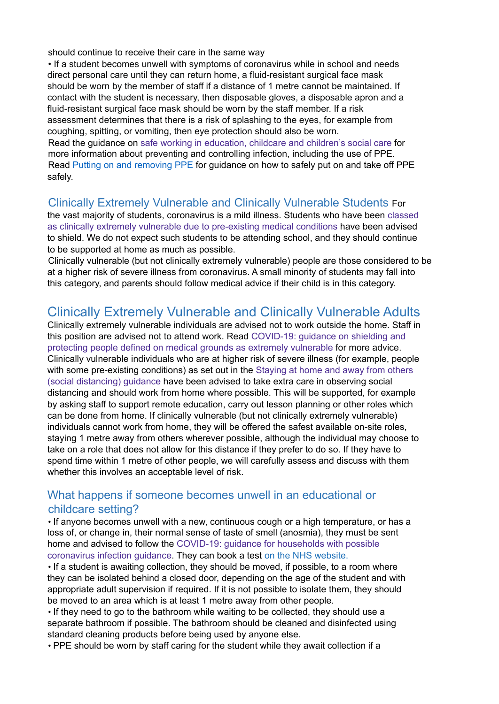should continue to receive their care in the same way

• If a student becomes unwell with symptoms of coronavirus while in school and needs direct personal care until they can return home, a fluid-resistant surgical face mask should be worn by the member of staff if a distance of 1 metre cannot be maintained. If contact with the student is necessary, then disposable gloves, a disposable apron and a fluid-resistant surgical face mask should be worn by the staff member. If a risk assessment determines that there is a risk of splashing to the eyes, for example from coughing, spitting, or vomiting, then eye protection should also be worn. Read the guidance on safe working in education, childcare and children's social care for more information about preventing and controlling infection, including the use of PPE.

Read Putting on and removing PPE for guidance on how to safely put on and take off PPE safely.

#### Clinically Extremely Vulnerable and Clinically Vulnerable Students For

the vast majority of students, coronavirus is a mild illness. Students who have been classed as clinically extremely vulnerable due to pre-existing medical conditions have been advised to shield. We do not expect such students to be attending school, and they should continue to be supported at home as much as possible.

Clinically vulnerable (but not clinically extremely vulnerable) people are those considered to be at a higher risk of severe illness from coronavirus. A small minority of students may fall into this category, and parents should follow medical advice if their child is in this category.

### Clinically Extremely Vulnerable and Clinically Vulnerable Adults

Clinically extremely vulnerable individuals are advised not to work outside the home. Staff in this position are advised not to attend work. Read COVID-19: guidance on shielding and protecting people defined on medical grounds as extremely vulnerable for more advice. Clinically vulnerable individuals who are at higher risk of severe illness (for example, people with some pre-existing conditions) as set out in the Staying at home and away from others (social distancing) guidance have been advised to take extra care in observing social distancing and should work from home where possible. This will be supported, for example by asking staff to support remote education, carry out lesson planning or other roles which can be done from home. If clinically vulnerable (but not clinically extremely vulnerable) individuals cannot work from home, they will be offered the safest available on-site roles, staying 1 metre away from others wherever possible, although the individual may choose to take on a role that does not allow for this distance if they prefer to do so. If they have to spend time within 1 metre of other people, we will carefully assess and discuss with them whether this involves an acceptable level of risk.

#### What happens if someone becomes unwell in an educational or childcare setting?

• If anyone becomes unwell with a new, continuous cough or a high temperature, or has a loss of, or change in, their normal sense of taste of smell (anosmia), they must be sent home and advised to follow the COVID-19: guidance for households with possible coronavirus infection guidance. They can book a test on the NHS website.

• If a student is awaiting collection, they should be moved, if possible, to a room where they can be isolated behind a closed door, depending on the age of the student and with appropriate adult supervision if required. If it is not possible to isolate them, they should be moved to an area which is at least 1 metre away from other people.

• If they need to go to the bathroom while waiting to be collected, they should use a separate bathroom if possible. The bathroom should be cleaned and disinfected using standard cleaning products before being used by anyone else.

• PPE should be worn by staff caring for the student while they await collection if a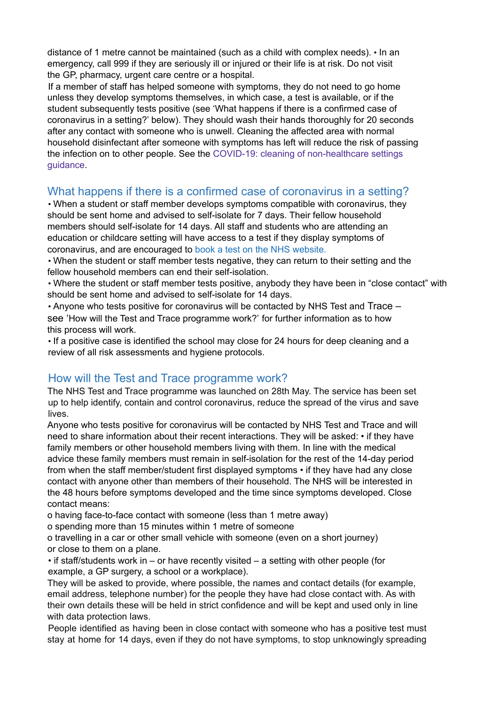distance of 1 metre cannot be maintained (such as a child with complex needs). • In an emergency, call 999 if they are seriously ill or injured or their life is at risk. Do not visit the GP, pharmacy, urgent care centre or a hospital.

If a member of staff has helped someone with symptoms, they do not need to go home unless they develop symptoms themselves, in which case, a test is available, or if the student subsequently tests positive (see 'What happens if there is a confirmed case of coronavirus in a setting?' below). They should wash their hands thoroughly for 20 seconds after any contact with someone who is unwell. Cleaning the affected area with normal household disinfectant after someone with symptoms has left will reduce the risk of passing the infection on to other people. See the COVID-19: cleaning of non-healthcare settings guidance.

#### What happens if there is a confirmed case of coronavirus in a setting?

• When a student or staff member develops symptoms compatible with coronavirus, they should be sent home and advised to self-isolate for 7 days. Their fellow household members should self-isolate for 14 days. All staff and students who are attending an education or childcare setting will have access to a test if they display symptoms of coronavirus, and are encouraged to book a test on the NHS website.

• When the student or staff member tests negative, they can return to their setting and the fellow household members can end their self-isolation.

• Where the student or staff member tests positive, anybody they have been in "close contact" with should be sent home and advised to self-isolate for 14 days.

• Anyone who tests positive for coronavirus will be contacted by NHS Test and Trace – see 'How will the Test and Trace programme work?' for further information as to how this process will work.

• If a positive case is identified the school may close for 24 hours for deep cleaning and a review of all risk assessments and hygiene protocols.

#### How will the Test and Trace programme work?

The NHS Test and Trace programme was launched on 28th May. The service has been set up to help identify, contain and control coronavirus, reduce the spread of the virus and save lives.

Anyone who tests positive for coronavirus will be contacted by NHS Test and Trace and will need to share information about their recent interactions. They will be asked: • if they have family members or other household members living with them. In line with the medical advice these family members must remain in self-isolation for the rest of the 14-day period from when the staff member/student first displayed symptoms • if they have had any close contact with anyone other than members of their household. The NHS will be interested in the 48 hours before symptoms developed and the time since symptoms developed. Close contact means:

o having face-to-face contact with someone (less than 1 metre away)

o spending more than 15 minutes within 1 metre of someone

o travelling in a car or other small vehicle with someone (even on a short journey) or close to them on a plane.

• if staff/students work in – or have recently visited – a setting with other people (for example, a GP surgery, a school or a workplace).

They will be asked to provide, where possible, the names and contact details (for example, email address, telephone number) for the people they have had close contact with. As with their own details these will be held in strict confidence and will be kept and used only in line with data protection laws.

People identified as having been in close contact with someone who has a positive test must stay at home for 14 days, even if they do not have symptoms, to stop unknowingly spreading